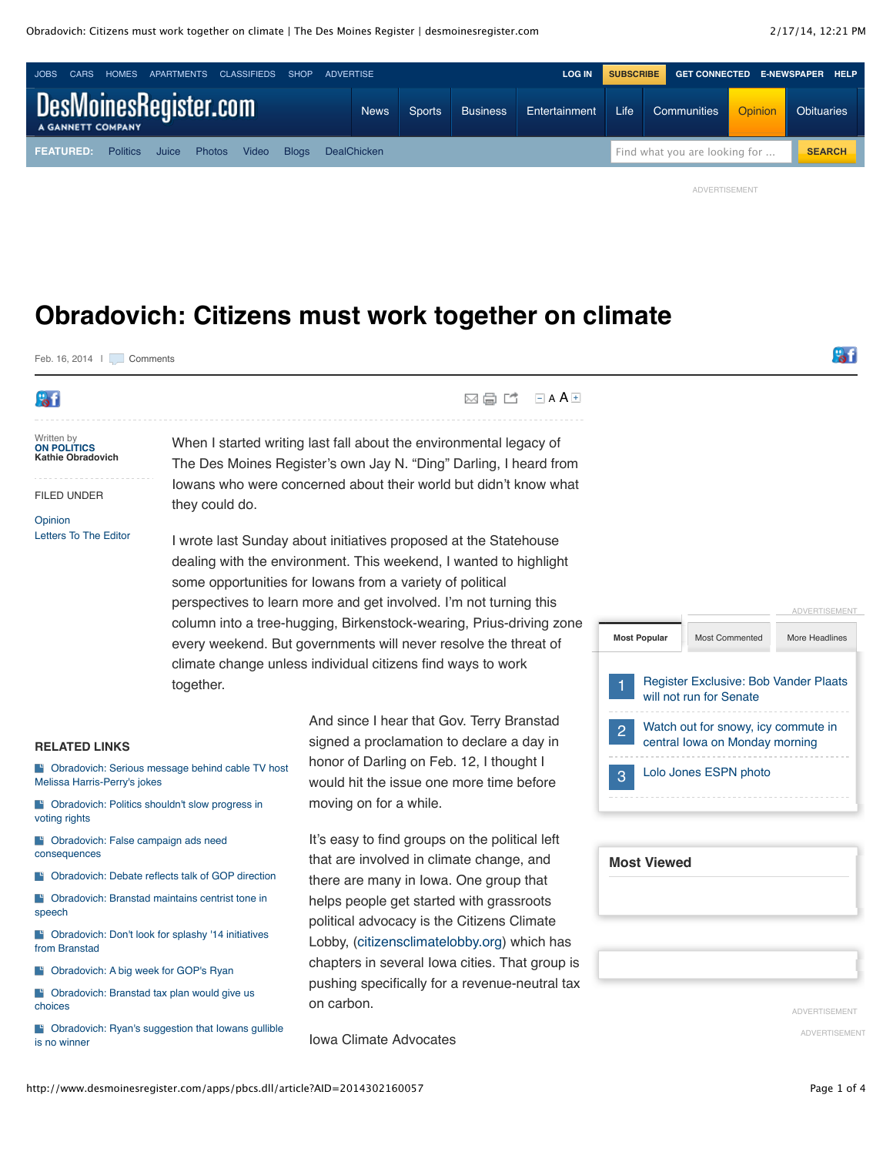

 $\boxtimes$   $\boxminus$   $\blacksquare$   $\blacksquare$   $\blacksquare$   $\blacktriangle$   $\blacktriangle$ 

## **Obradovich: Citizens must work together on climate**

Feb. 16, 2014 | | | [Comments](http://www.desmoinesregister.com/comments/article/20140216/OPINION05/302160057/Obradovich-Citizens-must-work-together-climate)



Written by **[ON POLITICS](mailto:kobradovich@dmreg.com) Kathie Obradovich**

FILED UNDER

**[Opinion](http://www.desmoinesregister.com/section/OPINION)** [Letters To The Editor](http://www.desmoinesregister.com/section/OPINION05) When I started writing last fall about the environmental legacy of The Des Moines Register's own Jay N. "Ding" Darling, I heard from Iowans who were concerned about their world but didn't know what they could do.

I wrote last Sunday about initiatives proposed at the Statehouse dealing with the environment. This weekend, I wanted to highlight some opportunities for Iowans from a variety of political perspectives to learn more and get involved. I'm not turning this column into a tree-hugging, Birkenstock-wearing, Prius-driving zone every weekend. But governments will never resolve the threat of climate change unless individual citizens find ways to work together.

#### **RELATED LINKS**

**B** [Obradovich: Serious message behind cable TV host](http://www.desmoinesregister.com/article/20140213/OPINION05/302130037) Melissa Harris-Perry's jokes

**B** [Obradovich: Politics shouldn't slow progress in](http://www.desmoinesregister.com/article/20140205/OPINION05/302050130) voting rights

**F** [Obradovich: False campaign ads need](http://www.desmoinesregister.com/article/20140123/OPINION05/301230062) consequences

**B** [Obradovich: Debate reflects talk of GOP direction](http://www.desmoinesregister.com/article/20140121/OPINION05/301210067)

[Obradovich: Branstad maintains centrist tone in](http://www.desmoinesregister.com/article/20140116/OPINION05/301160067) speech

**Cobradovich: Don't look for splashy '14 initiatives** from Branstad

**Cobradovich: A big week for GOP's Ryan** 

**Cobradovich: Branstad tax plan would give us** choices

**F** [Obradovich: Ryan's suggestion that Iowans gullible](http://www.desmoinesregister.com/article/20131117/OPINION05/311170067) is no winner

And since I hear that Gov. Terry Branstad signed a proclamation to declare a day in honor of Darling on Feb. 12, I thought I would hit the issue one more time before moving on for a while.

It's easy to find groups on the political left that are involved in climate change, and there are many in Iowa. One group that helps people get started with grassroots political advocacy is the Citizens Climate Lobby, [\(citizensclimatelobby.org\)](http://citizensclimatelobby.org/) which has chapters in several Iowa cities. That group is pushing specifically for a revenue-neutral tax on carbon.

Iowa Climate Advocates



| <b>Most Viewed</b> |  |  |
|--------------------|--|--|
|                    |  |  |
|                    |  |  |

ADVERTISEMENT ADVERTISEMENT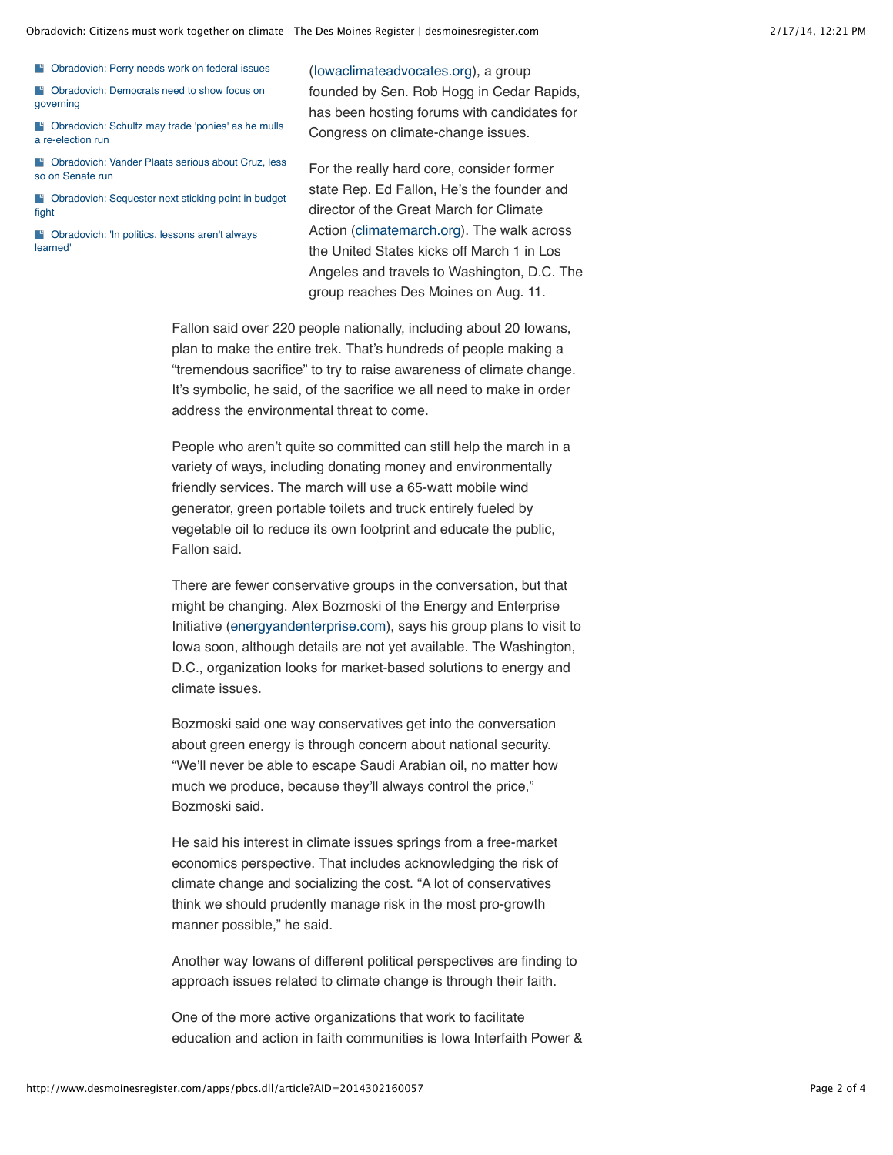Obradovich: Citizens must work together on climate | The Des Moines Register | desmoinesregister.com 2/17/14, 12:21 PM

**B** [Obradovich: Perry needs work on federal issues](http://www.desmoinesregister.com/article/20131107/OPINION05/311070075)

**Cobradovich: Democrats need to show focus on** governing

[Obradovich: Schultz may trade 'ponies' as he mulls](http://www.desmoinesregister.com/article/20131027/OPINION05/310270072) a re-election run

**B** [Obradovich: Vander Plaats serious about Cruz, less](http://www.desmoinesregister.com/article/20131023/OPINION05/310230103) so on Senate run

[Obradovich: Sequester next sticking point in budget](http://www.desmoinesregister.com/article/20131020/OPINION05/310200069) fight

**B** [Obradovich: 'In politics, lessons aren't always](http://www.desmoinesregister.com/article/20131013/OPINION05/310130060) learned'

[\(Iowaclimateadvocates.org\)](http://iowaclimateadvocates.org/), a group founded by Sen. Rob Hogg in Cedar Rapids, has been hosting forums with candidates for Congress on climate-change issues.

For the really hard core, consider former state Rep. Ed Fallon, He's the founder and director of the Great March for Climate Action ([climatemarch.org\)](http://climatemarch.org/). The walk across the United States kicks off March 1 in Los Angeles and travels to Washington, D.C. The group reaches Des Moines on Aug. 11.

Fallon said over 220 people nationally, including about 20 Iowans, plan to make the entire trek. That's hundreds of people making a "tremendous sacrifice" to try to raise awareness of climate change. It's symbolic, he said, of the sacrifice we all need to make in order address the environmental threat to come.

People who aren't quite so committed can still help the march in a variety of ways, including donating money and environmentally friendly services. The march will use a 65-watt mobile wind generator, green portable toilets and truck entirely fueled by vegetable oil to reduce its own footprint and educate the public, Fallon said.

There are fewer conservative groups in the conversation, but that might be changing. Alex Bozmoski of the Energy and Enterprise Initiative [\(energyandenterprise.com\)](http://energyandenterprise.com/), says his group plans to visit to Iowa soon, although details are not yet available. The Washington, D.C., organization looks for market-based solutions to energy and climate issues.

Bozmoski said one way conservatives get into the conversation about green energy is through concern about national security. "We'll never be able to escape Saudi Arabian oil, no matter how much we produce, because they'll always control the price," Bozmoski said.

He said his interest in climate issues springs from a free-market economics perspective. That includes acknowledging the risk of climate change and socializing the cost. "A lot of conservatives think we should prudently manage risk in the most pro-growth manner possible," he said.

Another way Iowans of different political perspectives are finding to approach issues related to climate change is through their faith.

One of the more active organizations that work to facilitate education and action in faith communities is Iowa Interfaith Power &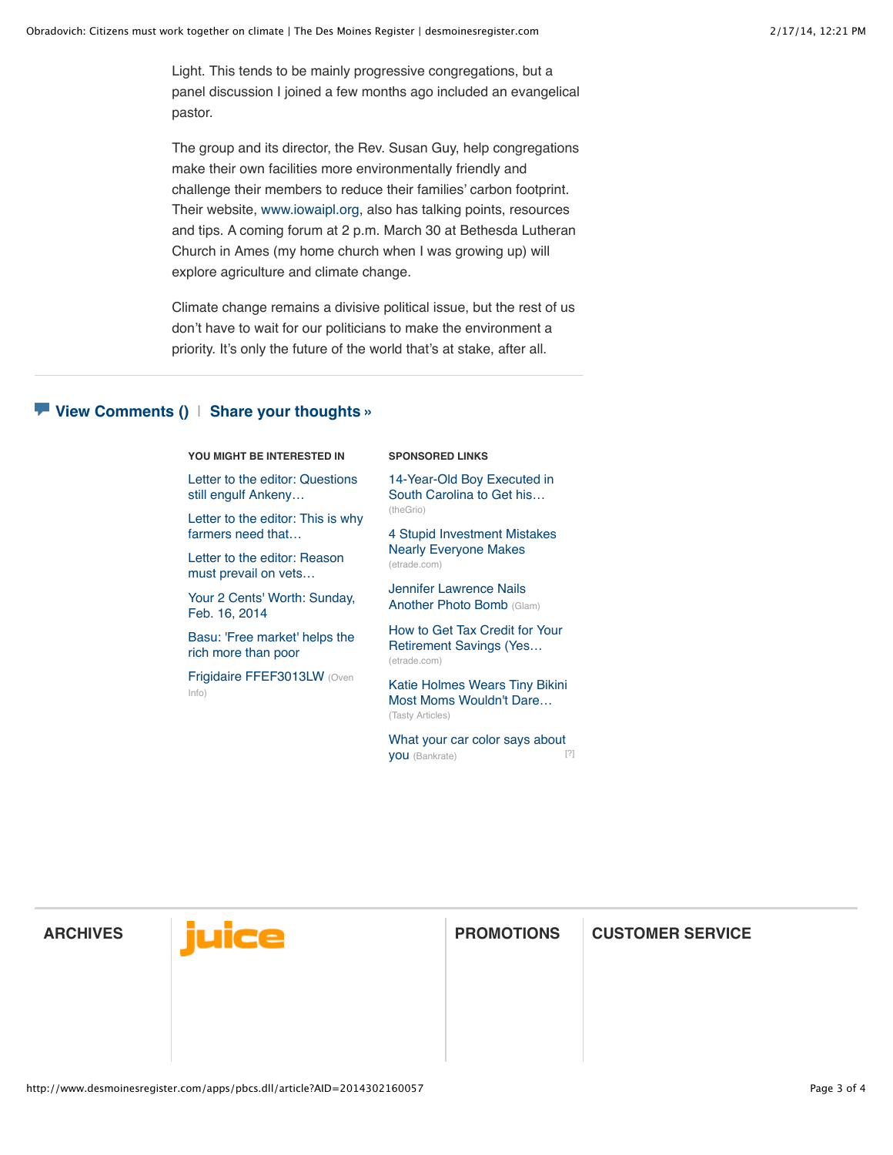Light. This tends to be mainly progressive congregations, but a panel discussion I joined a few months ago included an evangelical pastor.

The group and its director, the Rev. Susan Guy, help congregations make their own facilities more environmentally friendly and challenge their members to reduce their families' carbon footprint. Their website, [www.iowaipl.org,](http://www.iowaipl.org/) also has talking points, resources and tips. A coming forum at 2 p.m. March 30 at Bethesda Lutheran Church in Ames (my home church when I was growing up) will explore agriculture and climate change.

Climate change remains a divisive political issue, but the rest of us don't have to wait for our politicians to make the environment a priority. It's only the future of the world that's at stake, after all.

### **[View Comments](http://www.desmoinesregister.com/comments/article/20140216/OPINION05/302160057/Obradovich-Citizens-must-work-together-climate) ()** | **[Share your thoughts »](http://www.desmoinesregister.com/comments/article/20140216/OPINION05/302160057/Obradovich-Citizens-must-work-together-climate)**

**YOU MIGHT BE INTERESTED IN**

[Letter to the editor: Questions](http://www.desmoinesregister.com/article/20140216/OPINION04/302160046/Letter-editor-Questions-still-engulf-Ankeny-police-raid) still engulf Ankeny…

[Letter to the editor: This is why](http://www.desmoinesregister.com/article/20140216/OPINION04/302160049/Letter-editor-why-farmers-need-crop-insurance-help) farmers need that…

[Letter to the editor: Reason](http://www.desmoinesregister.com/article/20140216/OPINION04/302160055/Letter-editor-Reason-must-prevail-vets-pension-exemption) must prevail on vets…

[Your 2 Cents' Worth: Sunday,](http://www.desmoinesregister.com/article/20140216/OPINION/302160092/Your-2-Cents-Worth-Sunday-Feb-16-2014) Feb. 16, 2014

[Basu: 'Free market' helps the](http://www.desmoinesregister.com/article/20140216/BASU/302160056/Basu-Free-market-helps-rich-more-than-poor) rich more than poor

[Frigidaire FFEF3013LW](http://www.oveninfo.com/products/frigidaire-ffef3013lw) (Oven Info)

#### **SPONSORED LINKS**

[14-Year-Old Boy Executed in](http://thegrio.com/2014/01/21/new-trial-sought-for-george-stinney-14-executed-in-1944/) South Carolina to Get his… (theGrio)

[4 Stupid Investment Mistakes](https://us.etrade.com/ctnt/investor-education-center/ArticlePage?aid=a95f3219-ea14-48ca-8cb7-193ac59ef8b8) Nearly Everyone Makes (etrade.com)

[Jennifer Lawrence Nails](http://www.glam.com/jennifer-lawrence-nails-another-photo-bomb/) Another Photo Bomb (Glam)

[How to Get Tax Credit for Your](https://us.etrade.com/ctnt/investor-education-center/ArticlePage?aid=63e00b03-7935-49d1-a7d1-12a648a79f76) Retirement Savings (Yes… (etrade.com)

[Katie Holmes Wears Tiny Bikini](http://thestir.cafemom.com/beauty_style/166191/katie_holmes_wears_tiny_bikini) Most Moms Wouldn't Dare… (Tasty Articles)

[What your car color says about](http://www.bankrate.com/finance/auto/what-car-color-says-about-you-1.aspx) you (Bankrate) [\[?\]](http://www.desmoinesregister.com/apps/pbcs.dll/article?AID=2014302160057#)